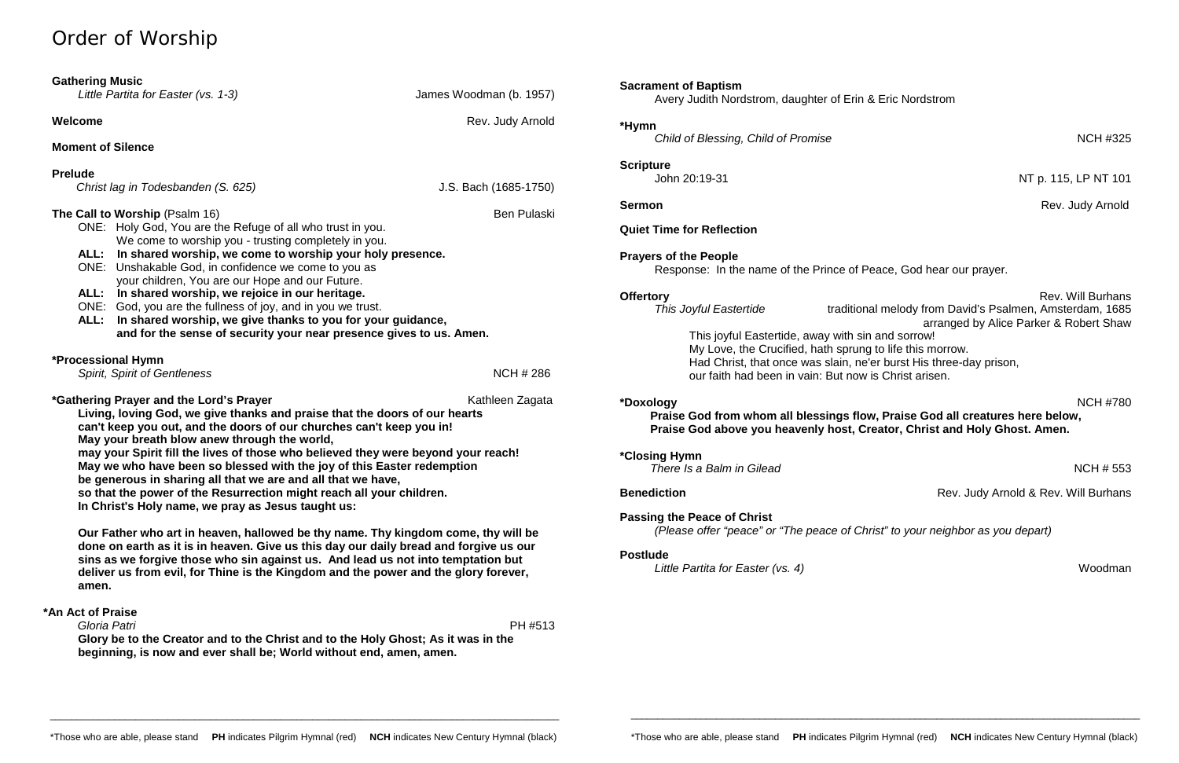# Order of Worship

| <b>Gathering Music</b><br>Little Partita for Easter (vs. 1-3)                                                                                                                                                                                                                                                                                                                                                                                                                                                                                                                                                               | James Woodman (b. 1957) |
|-----------------------------------------------------------------------------------------------------------------------------------------------------------------------------------------------------------------------------------------------------------------------------------------------------------------------------------------------------------------------------------------------------------------------------------------------------------------------------------------------------------------------------------------------------------------------------------------------------------------------------|-------------------------|
| Welcome                                                                                                                                                                                                                                                                                                                                                                                                                                                                                                                                                                                                                     | Rev. Judy Arnold        |
| <b>Moment of Silence</b>                                                                                                                                                                                                                                                                                                                                                                                                                                                                                                                                                                                                    |                         |
| <b>Prelude</b><br>Christ lag in Todesbanden (S. 625)                                                                                                                                                                                                                                                                                                                                                                                                                                                                                                                                                                        | J.S. Bach (1685-1750)   |
| The Call to Worship (Psalm 16)<br><b>Ben Pulaski</b><br>ONE: Holy God, You are the Refuge of all who trust in you.<br>We come to worship you - trusting completely in you.<br>In shared worship, we come to worship your holy presence.<br>ALL:<br>ONE: Unshakable God, in confidence we come to you as<br>your children, You are our Hope and our Future.<br>ALL: In shared worship, we rejoice in our heritage.<br>ONE: God, you are the fullness of joy, and in you we trust.<br>ALL: In shared worship, we give thanks to you for your guidance,<br>and for the sense of security your near presence gives to us. Amen. |                         |
| *Processional Hymn<br><b>Spirit, Spirit of Gentleness</b>                                                                                                                                                                                                                                                                                                                                                                                                                                                                                                                                                                   | <b>NCH #286</b>         |
| *Gathering Prayer and the Lord's Prayer<br>Living, loving God, we give thanks and praise that the doors of our hearts<br>can't keep you out, and the doors of our churches can't keep you in!<br>May your breath blow anew through the world,<br>may your Spirit fill the lives of those who believed they were beyond your reach!<br>May we who have been so blessed with the joy of this Easter redemption<br>be generous in sharing all that we are and all that we have,<br>so that the power of the Resurrection might reach all your children.<br>In Christ's Holy name, we pray as Jesus taught us:                  | Kathleen Zagata         |
| Our Father who art in heaven, hallowed be thy name. Thy kingdom come, thy will be<br>done on earth as it is in heaven. Give us this day our daily bread and forgive us our<br>sins as we forgive those who sin against us. And lead us not into temptation but<br>deliver us from evil, for Thine is the Kingdom and the power and the glory forever,<br>amen.                                                                                                                                                                                                                                                              |                         |
| *An Act of Praise<br>Gloria Patri<br>Glory be to the Creator and to the Christ and to the Holy Ghost; As it was in the                                                                                                                                                                                                                                                                                                                                                                                                                                                                                                      | PH #513                 |

**Offertory** Rev. Will Burhans<br>This Joyful Eastertide **The actional melody from David's Psalmen**, Amsterdam, 1685 *This Joyful Eastertide* traditional melody from David's Psalmen, Amsterdam, 1685 arranged by Alice Parker & Robert Shaw This joyful Eastertide, away with sin and sorrow! My Love, the Crucified, hath sprung to life this morrow. Had Christ, that once was slain, ne'er burst His three-day prison, our faith had been in vain: But now is Christ arisen.

**\*Closing Hymn**  *There Is a Balm in Gilead* **NCH # 553** 

**beginning, is now and ever shall be; World without end, amen, amen.**

**\*Hymn**

**Child of Blessing, Child of Promise** NCH #325

**Scripture**

**Quiet Time for Reflection**

**Prayers of the People** Response: In the name of the Prince of Peace, God hear our prayer.

**\*Doxology** NCH #780 **Praise God from whom all blessings flow, Praise God all creatures here below, Praise God above you heavenly host, Creator, Christ and Holy Ghost. Amen.**

### **Passing the Peace of Christ**

*(Please offer "peace" or "The peace of Christ" to your neighbor as you depart)*

## **Postlude**

*Little Partita for Easter (vs. 4)* Woodman

\_\_\_\_\_\_\_\_\_\_\_\_\_\_\_\_\_\_\_\_\_\_\_\_\_\_\_\_\_\_\_\_\_\_\_\_\_\_\_\_\_\_\_\_\_\_\_\_\_\_\_\_\_\_\_\_\_\_\_\_\_\_\_\_\_\_\_\_\_\_\_\_\_\_\_\_\_\_\_\_\_\_\_\_\_\_\_\_\_\_\_\_\_\_\_

# John 20:19-31 **NT p. 115, LP NT 101**

**Sermon** Rev. Judy Arnold

**Benediction Benediction Rev. Judy Arnold & Rev. Will Burhans** 

\_\_\_\_\_\_\_\_\_\_\_\_\_\_\_\_\_\_\_\_\_\_\_\_\_\_\_\_\_\_\_\_\_\_\_\_\_\_\_\_\_\_\_\_\_\_\_\_\_\_\_\_\_\_\_\_\_\_\_\_\_\_\_\_\_\_\_\_\_\_\_\_\_\_\_\_\_\_\_\_\_\_\_\_\_\_\_\_\_\_\_\_\_\_\_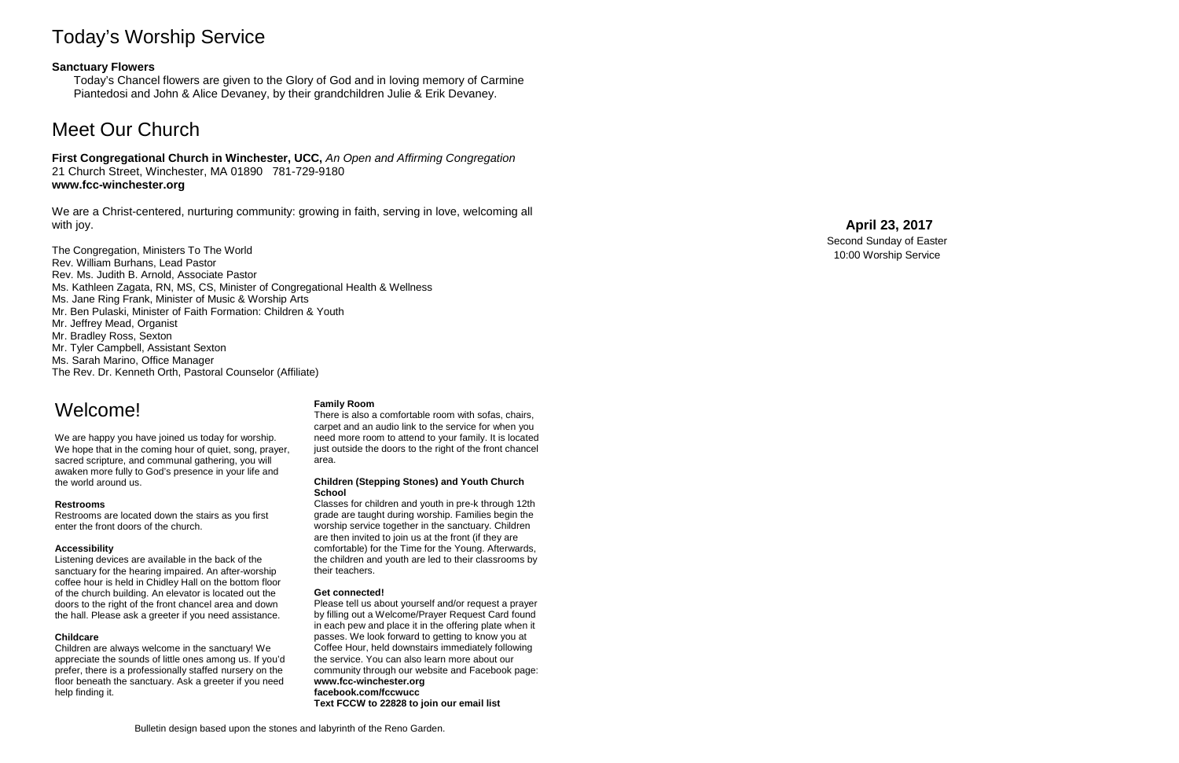# Today's Worship Service

## **Sanctuary Flowers**

Today's Chancel flowers are given to the Glory of God and in loving memory of Carmine Piantedosi and John & Alice Devaney, by their grandchildren Julie & Erik Devaney.

# Meet Our Church

We are a Christ-centered, nurturing community: growing in faith, serving in love, welcoming all with joy.

**First Congregational Church in Winchester, UCC,** *An Open and Affirming Congregation* 21 Church Street, Winchester, MA 01890 781 -729 -9180 **www.fcc -winchester.org**

The Congregation, Ministers To The World Rev. William Burhans, Lead Pastor Rev. Ms. Judith B. Arnold, Associate Pastor Ms. Kathleen Zagata, RN, MS, CS, Minister of Congregational Health & Wellness Ms. Jane Ring Frank, Minister of Music & Worship Arts Mr. Ben Pulaski, Minister of Faith Formation: Children & Youth Mr. Jeffrey Mead, Organist Mr. Bradley Ross, Sexton Mr. Tyler Campbell, Assistant Sexton Ms. Sarah Marino, Office Manager The Rev. Dr. Kenneth Orth, Pastoral Counselor (Affiliate)

# **April 23 , 2017**

Second Sunday of Easter 10:00 Worship Service

# Welcome!

We are happy you have joined us today for worship. We hope that in the coming hour of quiet, song, prayer, sacred scripture, and communal gathering, you will awaken more fully to God's presence in your life and the world around us.

#### **Restrooms**

Restrooms are located down the stairs as you first enter the front doors of the church.

#### **Accessibility**

Listening devices are available in the back of the sanctuary for the hearing impaired. An after -worship coffee hour is held in Chidley Hall on the bottom floor of the church building. An elevator is located out the doors to the right of the front chancel area and down the hall. Please ask a greeter if you need assistance.

### **Childcare**

Children are always welcome in the sanctuary! We appreciate the sounds of little ones among us. If you'd prefer, there is a professionally staffed nursery on the floor beneath the sanctuary. Ask a greeter if you need help finding it.

#### **Family Room**

There is also a comfortable room with sofas, chairs, carpet and an audio link to the service for when you need more room to attend to your family. It is located just outside the doors to the right of the front chancel area.

#### **Children (Stepping Stones) and Youth Church School**

Classes for children and youth in pre -k through 12th grade are taught during worship. Families begin the worship service together in the sanctuary. Children are then invited to join us at the front (if they are comfortable) for the Time for the Young. Afterwards, the children and youth are led to their classrooms by their teachers.

#### **Get connected!**

Please tell us about yourself and/or request a prayer by filling out a Welcome/Prayer Request Card found in each pew and place it in the offering plate when it passes. We look forward to getting to know you at Coffee Hour, held downstairs immediately following the service. You can also learn more about our community through our website and Facebook page: **www.fcc -winchester.org facebook.com/fccwucc Text FCCW to 22828 to join our email list**